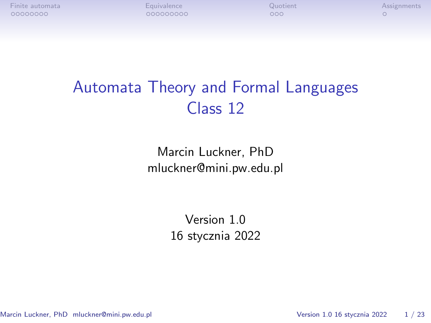# Automata Theory and Formal Languages Class 12

Marcin Luckner, PhD mluckner@mini.pw.edu.pl

> Version 1.0 16 stycznia 2022

Marcin Luckner, PhD mluckner@mini.pw.edu.pl Version 1.0 16 stycznia 2022 1/23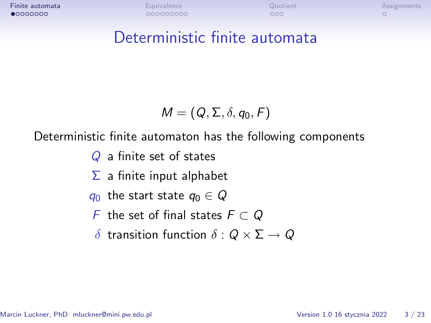# <span id="page-1-0"></span>Deterministic finite automata

$$
\mathit{M}=(\mathit{Q},\Sigma,\delta,q_0,\mathit{F})
$$

#### Deterministic finite automaton has the following components

Q a finite set of states

- $\Sigma$  a finite input alphabet
- $q_0$  the start state  $q_0 \in Q$
- F the set of final states F *⊂* Q
- *δ* transition function *δ* : Q *×* Σ *→* Q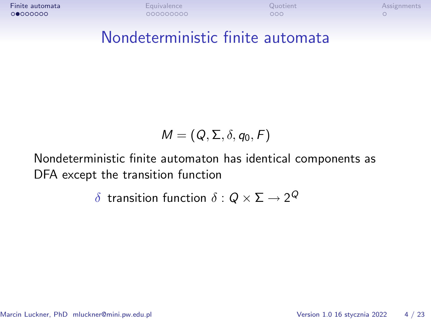### Nondeterministic finite automata

$$
\mathit{M}=(\mathit{Q},\Sigma,\delta,q_0,\mathit{F})
$$

Nondeterministic finite automaton has identical components as DFA except the transition function

 $\delta$  transition function  $\delta:Q\times \Sigma\rightarrow 2^Q$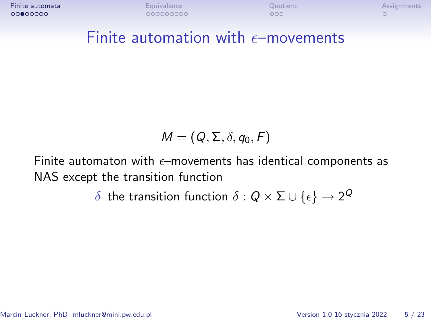#### Finite automation with  $\epsilon$ -movements

$$
M=(Q,\Sigma,\delta,q_0,F)
$$

Finite automaton with  $\epsilon$ -movements has identical components as NAS except the transition function

 $\delta$  the transition function  $\delta:Q\times \Sigma\cup\{\epsilon\}\rightarrow 2^Q$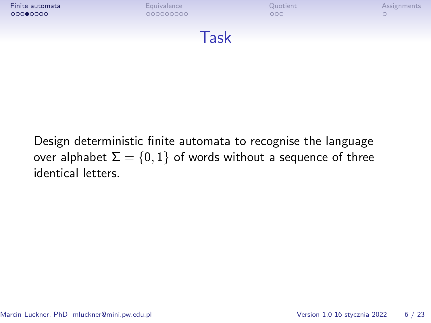

Design deterministic finite automata to recognise the language over alphabet  $\Sigma = \{0, 1\}$  of words without a sequence of three identical letters.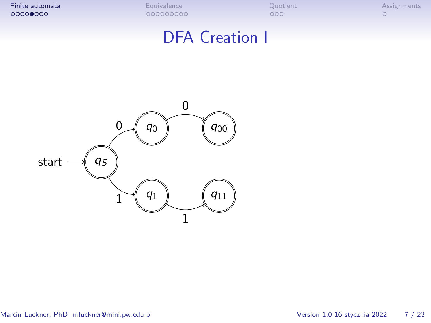# DFA Creation I

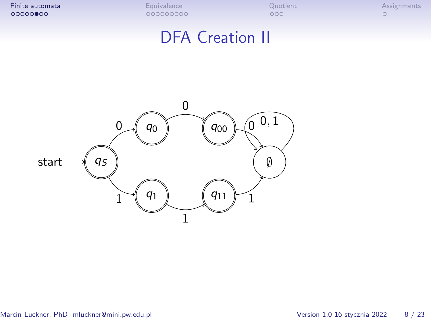# DFA Creation II

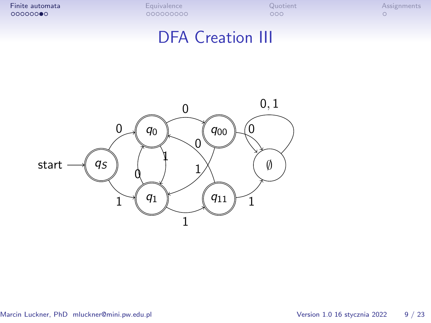# DFA Creation III

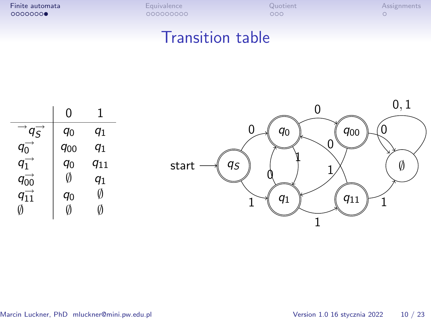| Finite automata | <b>Equivalence</b> | Quotient | Assignments |
|-----------------|--------------------|----------|-------------|
| 00000000        | 000000000          | ೦೦೦      |             |
|                 |                    |          |             |

#### Transition table

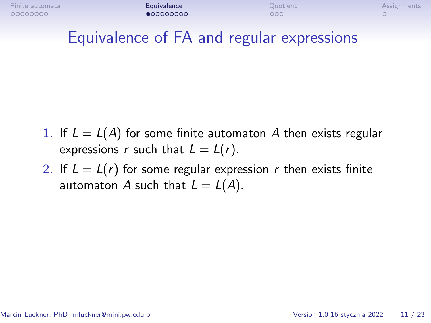# <span id="page-9-0"></span>Equivalence of FA and regular expressions

- 1. If  $L = L(A)$  for some finite automaton A then exists regular expressions r such that  $L = L(r)$ .
- 2. If  $L = L(r)$  for some regular expression r then exists finite automaton A such that  $L = L(A)$ .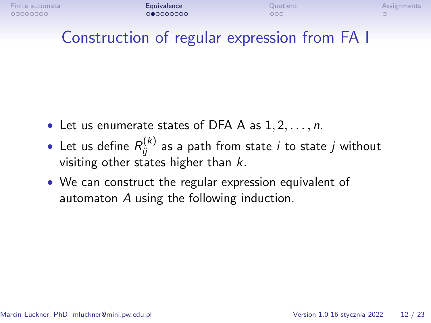# Construction of regular expression from FA I

- Let us enumerate states of DFA A as 1*,* 2*, . . . ,* n.
- $\bullet\,$  Let us define  $R^{(k)}_{ij}$  as a path from state  $i$  to state  $j$  without visiting other states higher than  $k$ .
- We can construct the regular expression equivalent of automaton A using the following induction.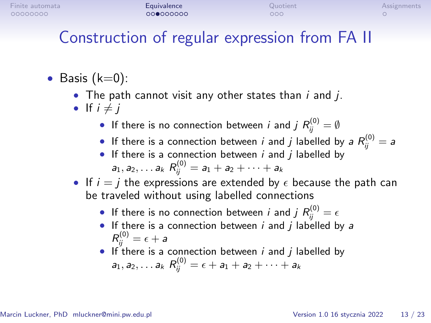# Construction of regular expression from FA II

- Basis  $(k=0)$ :
	- The path cannot visit any other states than  $i$  and  $j$ .
	- If  $i \neq j$ 
		- $\bullet$  If there is no connection between  $i$  and  $j$   $R_{ij}^{(0)} = \emptyset$
		- $\bullet$  If there is a connection between  $i$  and  $j$  labelled by a  $R_{ij}^{(0)}=$  a
		- If there is a connection between  $i$  and  $j$  labelled by  $a_1, a_2, \ldots a_k \ R^{(0)}_{ij} = a_1 + a_2 + \cdots + a_k$
	- If  $i = j$  the expressions are extended by  $\epsilon$  because the path can be traveled without using labelled connections
		- $\bullet$  If there is no connection between  $i$  and  $j$   $R_{ij}^{(0)}=\epsilon$
		- If there is a connection between  $i$  and  $j$  labelled by a  $R^{(0)}_{ij} = \epsilon + \textit{a}$
		- If there is a connection between  $i$  and  $j$  labelled by  $a_1, a_2, \ldots a_k \, R_{ij}^{(0)} = \epsilon + a_1 + a_2 + \cdots + a_k$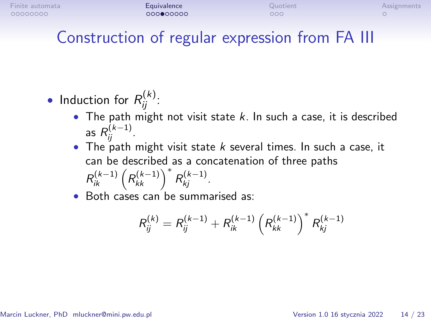# Construction of regular expression from FA III

- Induction for  $R_{ij}^{(k)}$ :
	- The path might not visit state  $k$ . In such a case, it is described as  $R_{ij}^{(k-1)}$ .
	- The path might visit state  $k$  several times. In such a case, it can be described as a concatenation of three paths  $R_{ik}^{(k-1)}$   $\left(R_{kk}^{(k-1)}\right)^*$   $R_{kj}^{(k-1)}$ .
	- Both cases can be summarised as:

$$
R_{ij}^{(k)} = R_{ij}^{(k-1)} + R_{ik}^{(k-1)} \left( R_{kk}^{(k-1)} \right)^* R_{kj}^{(k-1)}
$$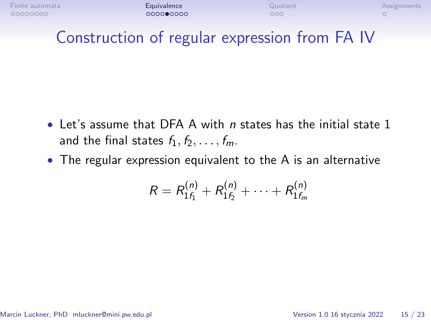| Finite automata | Equivalence | Quotient | Assignments |
|-----------------|-------------|----------|-------------|
| 00000000        | 000000000   | 000      |             |

### Construction of regular expression from FA IV

- $\bullet$  Let's assume that DFA A with *n* states has the initial state 1 and the final states  $f_1, f_2, \ldots, f_m$ .
- The regular expression equivalent to the A is an alternative

$$
R = R_{1f_1}^{(n)} + R_{1f_2}^{(n)} + \cdots + R_{1f_m}^{(n)}
$$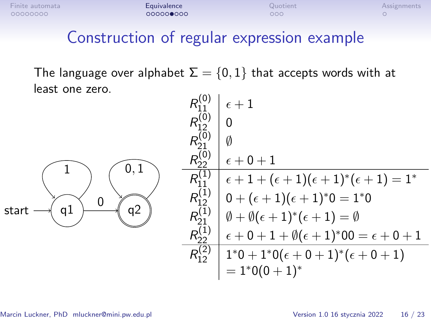### Construction of regular expression example

The language over alphabet  $\Sigma = \{0, 1\}$  that accepts words with at least one zero.  $(0)$ 

|                   | $R_{11}^{(0)}$       | $\epsilon+1$                                                          |
|-------------------|----------------------|-----------------------------------------------------------------------|
|                   | $R_{12}^{(0)}$       | 0                                                                     |
|                   | $R_{21}^{(0)}$       | Ø                                                                     |
| 0                 | $R_{22}^{(0)}$       | $\epsilon + 0 + 1$                                                    |
|                   | $R_{11}^{(1)}$       | $\epsilon+1+(\epsilon+1)(\epsilon+1)^*(\epsilon+1)=1^*$               |
|                   | $R_{12}^{(1)}$       | $0 + (\epsilon + 1)(\epsilon + 1)^*0 = 1^*0$                          |
| а2<br>start<br>αI | $R_{21}^{(\bar{1})}$ | $\emptyset + \emptyset(\epsilon + 1)^*(\epsilon + 1) = \emptyset$     |
|                   | $R_{22}^{(\bar{1})}$ | $\epsilon + 0 + 1 + \emptyset (\epsilon + 1)^* 00 = \epsilon + 0 + 1$ |
|                   | $R_{12}^{(2)}$       | $1^*0+1^*0(\epsilon+0+1)^*(\epsilon+0+1)$                             |
|                   |                      | $= 1*0(0+1)*$                                                         |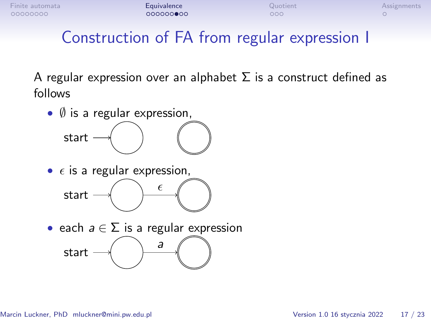# Construction of FA from regular expression I

A regular expression over an alphabet  $\Sigma$  is a construct defined as follows

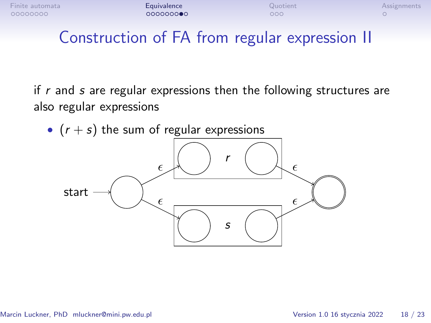| Finite automata | Equivalence | Quotient | Assignments |
|-----------------|-------------|----------|-------------|
| 00000000        | 000000000   | 000      |             |

# Construction of FA from regular expression II

if  $r$  and  $s$  are regular expressions then the following structures are also regular expressions

•  $(r + s)$  the sum of regular expressions

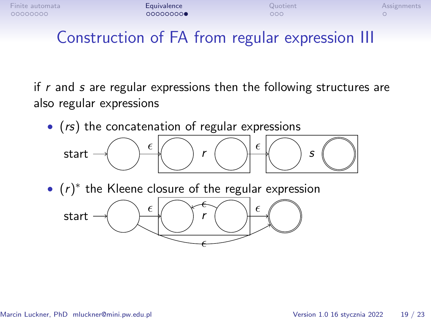

# Construction of FA from regular expression III

if  $r$  and  $s$  are regular expressions then the following structures are also regular expressions

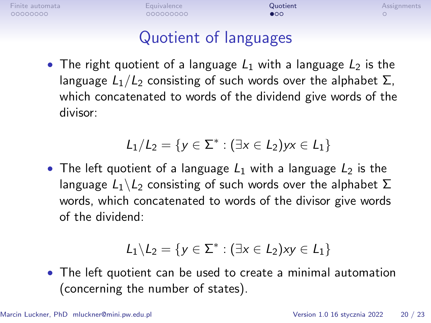# Quotient of languages

<span id="page-18-0"></span>• The right quotient of a language  $L_1$  with a language  $L_2$  is the language  $L_1/L_2$  consisting of such words over the alphabet  $\Sigma$ , which concatenated to words of the dividend give words of the divisor:

$$
L_1/L_2 = \{y \in \Sigma^* : (\exists x \in L_2) yx \in L_1\}
$$

• The left quotient of a language  $L_1$  with a language  $L_2$  is the language  $L_1 \backslash L_2$  consisting of such words over the alphabet  $\Sigma$ words, which concatenated to words of the divisor give words of the dividend:

$$
\mathit{L}_1 \backslash \mathit{L}_2 = \{y \in \Sigma^* : (\exists x \in \mathit{L}_2) xy \in \mathit{L}_1\}
$$

• The left quotient can be used to create a minimal automation (concerning the number of states).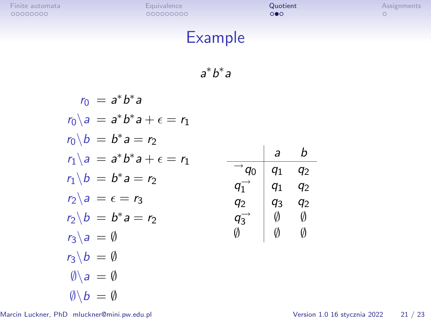a b

 $q_1$   $q_2$ 

*∅ ∅*

# Example

a *∗* b *∗* a

$$
r_0 = a^*b^*a
$$
  
\n
$$
r_0 \setminus a = a^*b^*a + \epsilon = r_1
$$
  
\n
$$
r_0 \setminus b = b^*a = r_2
$$
  
\n
$$
r_1 \setminus a = a^*b^*a + \epsilon = r_1
$$
  
\n
$$
r_1 \setminus b = b^*a = r_2
$$
  
\n
$$
r_2 \setminus a = \epsilon = r_3
$$
  
\n
$$
r_2 \setminus b = b^*a = r_2
$$
  
\n
$$
r_3 \setminus a = \emptyset
$$
  
\n
$$
r_3 \setminus b = \emptyset
$$
  
\n
$$
\emptyset \setminus a = \emptyset
$$
  
\n
$$
\emptyset \setminus b = \emptyset
$$
  
\n
$$
\emptyset \setminus b = \emptyset
$$
  
\n
$$
\emptyset \setminus b = \emptyset
$$

Marcin Luckner, PhD mluckner@mini.pw.edu.pl Version 1.0 16 stycznia 2022 21 / 23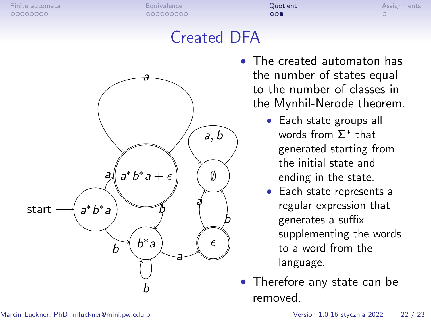# Created DFA



- The created automaton has the number of states equal to the number of classes in the Mynhil-Nerode theorem.
	- Each state groups all words from Σ *∗* that generated starting from the initial state and ending in the state.
	- Each state represents a regular expression that generates a suffix supplementing the words to a word from the language.
- Therefore any state can be removed.